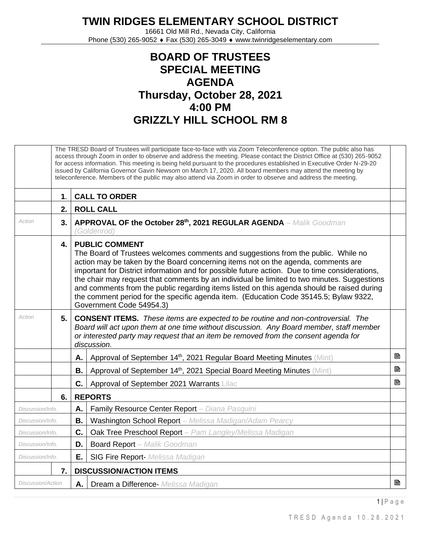## **TWIN RIDGES ELEMENTARY SCHOOL DISTRICT**

16661 Old Mill Rd., Nevada City, California Phone (530) 265-9052 ♦ Fax (530) 265-3049 ♦ www.twinridgeselementary.com

## **BOARD OF TRUSTEES SPECIAL MEETING AGENDA Thursday, October 28, 2021 4:00 PM GRIZZLY HILL SCHOOL RM 8**

|                          | The TRESD Board of Trustees will participate face-to-face with via Zoom Teleconference option. The public also has<br>access through Zoom in order to observe and address the meeting. Please contact the District Office at (530) 265-9052<br>for access information. This meeting is being held pursuant to the procedures established in Executive Order N-29-20<br>issued by California Governor Gavin Newsom on March 17, 2020. All board members may attend the meeting by<br>teleconference. Members of the public may also attend via Zoom in order to observe and address the meeting. |                                                                                                                                                                                                                                                                                                                                                                                                                                                                                                                                                                                                                     |   |  |  |  |
|--------------------------|-------------------------------------------------------------------------------------------------------------------------------------------------------------------------------------------------------------------------------------------------------------------------------------------------------------------------------------------------------------------------------------------------------------------------------------------------------------------------------------------------------------------------------------------------------------------------------------------------|---------------------------------------------------------------------------------------------------------------------------------------------------------------------------------------------------------------------------------------------------------------------------------------------------------------------------------------------------------------------------------------------------------------------------------------------------------------------------------------------------------------------------------------------------------------------------------------------------------------------|---|--|--|--|
|                          | $\mathbf 1$ .                                                                                                                                                                                                                                                                                                                                                                                                                                                                                                                                                                                   | <b>CALL TO ORDER</b>                                                                                                                                                                                                                                                                                                                                                                                                                                                                                                                                                                                                |   |  |  |  |
|                          | 2.                                                                                                                                                                                                                                                                                                                                                                                                                                                                                                                                                                                              | <b>ROLL CALL</b>                                                                                                                                                                                                                                                                                                                                                                                                                                                                                                                                                                                                    |   |  |  |  |
| Action                   | 3.                                                                                                                                                                                                                                                                                                                                                                                                                                                                                                                                                                                              | APPROVAL OF the October 28th, 2021 REGULAR AGENDA - Malik Goodman<br>(Goldenrod)                                                                                                                                                                                                                                                                                                                                                                                                                                                                                                                                    |   |  |  |  |
|                          | 4.                                                                                                                                                                                                                                                                                                                                                                                                                                                                                                                                                                                              | <b>PUBLIC COMMENT</b><br>The Board of Trustees welcomes comments and suggestions from the public. While no<br>action may be taken by the Board concerning items not on the agenda, comments are<br>important for District information and for possible future action. Due to time considerations,<br>the chair may request that comments by an individual be limited to two minutes. Suggestions<br>and comments from the public regarding items listed on this agenda should be raised during<br>the comment period for the specific agenda item. (Education Code 35145.5; Bylaw 9322,<br>Government Code 54954.3) |   |  |  |  |
| Action                   | 5.                                                                                                                                                                                                                                                                                                                                                                                                                                                                                                                                                                                              | <b>CONSENT ITEMS.</b> These items are expected to be routine and non-controversial. The<br>Board will act upon them at one time without discussion. Any Board member, staff member<br>or interested party may request that an item be removed from the consent agenda for<br>discussion.                                                                                                                                                                                                                                                                                                                            |   |  |  |  |
|                          |                                                                                                                                                                                                                                                                                                                                                                                                                                                                                                                                                                                                 | Approval of September 14th, 2021 Regular Board Meeting Minutes (Mint)<br>А.                                                                                                                                                                                                                                                                                                                                                                                                                                                                                                                                         | P |  |  |  |
|                          |                                                                                                                                                                                                                                                                                                                                                                                                                                                                                                                                                                                                 | Approval of September 14th, 2021 Special Board Meeting Minutes (Mint)<br>В.                                                                                                                                                                                                                                                                                                                                                                                                                                                                                                                                         | ₿ |  |  |  |
|                          |                                                                                                                                                                                                                                                                                                                                                                                                                                                                                                                                                                                                 | C.<br>Approval of September 2021 Warrants Lilac                                                                                                                                                                                                                                                                                                                                                                                                                                                                                                                                                                     | B |  |  |  |
|                          | 6.                                                                                                                                                                                                                                                                                                                                                                                                                                                                                                                                                                                              | <b>REPORTS</b>                                                                                                                                                                                                                                                                                                                                                                                                                                                                                                                                                                                                      |   |  |  |  |
| Discussion/Info.         |                                                                                                                                                                                                                                                                                                                                                                                                                                                                                                                                                                                                 | Family Resource Center Report - Diana Pasquini<br>А.                                                                                                                                                                                                                                                                                                                                                                                                                                                                                                                                                                |   |  |  |  |
| Discussion/Info.         |                                                                                                                                                                                                                                                                                                                                                                                                                                                                                                                                                                                                 | Washington School Report - Melissa Madigan/Adam Pearcy<br>В.                                                                                                                                                                                                                                                                                                                                                                                                                                                                                                                                                        |   |  |  |  |
| Discussion/Info.         |                                                                                                                                                                                                                                                                                                                                                                                                                                                                                                                                                                                                 | C.<br>Oak Tree Preschool Report - Pam Langley/Melissa Madigan                                                                                                                                                                                                                                                                                                                                                                                                                                                                                                                                                       |   |  |  |  |
| Discussion/Info.         |                                                                                                                                                                                                                                                                                                                                                                                                                                                                                                                                                                                                 | <b>Board Report</b> - Malik Goodman<br>D.                                                                                                                                                                                                                                                                                                                                                                                                                                                                                                                                                                           |   |  |  |  |
| Discussion/Info.         |                                                                                                                                                                                                                                                                                                                                                                                                                                                                                                                                                                                                 | <b>SIG Fire Report-</b> Melissa Madigan<br>Е.                                                                                                                                                                                                                                                                                                                                                                                                                                                                                                                                                                       |   |  |  |  |
|                          | 7.                                                                                                                                                                                                                                                                                                                                                                                                                                                                                                                                                                                              | <b>DISCUSSION/ACTION ITEMS</b>                                                                                                                                                                                                                                                                                                                                                                                                                                                                                                                                                                                      |   |  |  |  |
| <b>Discussion/Action</b> |                                                                                                                                                                                                                                                                                                                                                                                                                                                                                                                                                                                                 | А.<br>Dream a Difference- Melissa Madigan                                                                                                                                                                                                                                                                                                                                                                                                                                                                                                                                                                           | B |  |  |  |

1 | P a g e